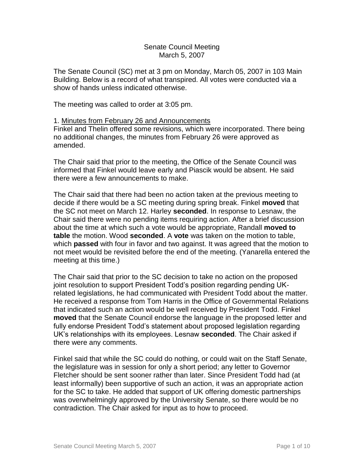#### Senate Council Meeting March 5, 2007

The Senate Council (SC) met at 3 pm on Monday, March 05, 2007 in 103 Main Building. Below is a record of what transpired. All votes were conducted via a show of hands unless indicated otherwise.

The meeting was called to order at 3:05 pm.

#### 1. Minutes from February 26 and Announcements

Finkel and Thelin offered some revisions, which were incorporated. There being no additional changes, the minutes from February 26 were approved as amended.

The Chair said that prior to the meeting, the Office of the Senate Council was informed that Finkel would leave early and Piascik would be absent. He said there were a few announcements to make.

The Chair said that there had been no action taken at the previous meeting to decide if there would be a SC meeting during spring break. Finkel **moved** that the SC not meet on March 12. Harley **seconded**. In response to Lesnaw, the Chair said there were no pending items requiring action. After a brief discussion about the time at which such a vote would be appropriate, Randall **moved to table** the motion. Wood **seconded**. A **vote** was taken on the motion to table, which **passed** with four in favor and two against. It was agreed that the motion to not meet would be revisited before the end of the meeting. (Yanarella entered the meeting at this time.)

The Chair said that prior to the SC decision to take no action on the proposed joint resolution to support President Todd's position regarding pending UKrelated legislations, he had communicated with President Todd about the matter. He received a response from Tom Harris in the Office of Governmental Relations that indicated such an action would be well received by President Todd. Finkel **moved** that the Senate Council endorse the language in the proposed letter and fully endorse President Todd's statement about proposed legislation regarding UK's relationships with its employees. Lesnaw **seconded**. The Chair asked if there were any comments.

Finkel said that while the SC could do nothing, or could wait on the Staff Senate, the legislature was in session for only a short period; any letter to Governor Fletcher should be sent sooner rather than later. Since President Todd had (at least informally) been supportive of such an action, it was an appropriate action for the SC to take. He added that support of UK offering domestic partnerships was overwhelmingly approved by the University Senate, so there would be no contradiction. The Chair asked for input as to how to proceed.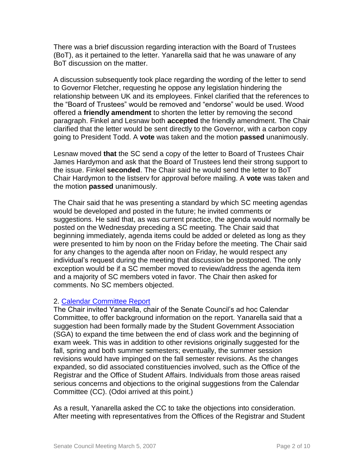There was a brief discussion regarding interaction with the Board of Trustees (BoT), as it pertained to the letter. Yanarella said that he was unaware of any BoT discussion on the matter.

A discussion subsequently took place regarding the wording of the letter to send to Governor Fletcher, requesting he oppose any legislation hindering the relationship between UK and its employees. Finkel clarified that the references to the "Board of Trustees" would be removed and "endorse" would be used. Wood offered a **friendly amendment** to shorten the letter by removing the second paragraph. Finkel and Lesnaw both **accepted** the friendly amendment. The Chair clarified that the letter would be sent directly to the Governor, with a carbon copy going to President Todd. A **vote** was taken and the motion **passed** unanimously.

Lesnaw moved **that** the SC send a copy of the letter to Board of Trustees Chair James Hardymon and ask that the Board of Trustees lend their strong support to the issue. Finkel **seconded**. The Chair said he would send the letter to BoT Chair Hardymon to the listserv for approval before mailing. A **vote** was taken and the motion **passed** unanimously.

The Chair said that he was presenting a standard by which SC meeting agendas would be developed and posted in the future; he invited comments or suggestions. He said that, as was current practice, the agenda would normally be posted on the Wednesday preceding a SC meeting. The Chair said that beginning immediately, agenda items could be added or deleted as long as they were presented to him by noon on the Friday before the meeting. The Chair said for any changes to the agenda after noon on Friday, he would respect any individual's request during the meeting that discussion be postponed. The only exception would be if a SC member moved to review/address the agenda item and a majority of SC members voted in favor. The Chair then asked for comments. No SC members objected.

### 2. [Calendar Committee Report](http://www.uky.edu/USC/New/files/20070305/Report%20of%20the%20Calendar%20Committee-finalvetted.pdf)

The Chair invited Yanarella, chair of the Senate Council's ad hoc Calendar Committee, to offer background information on the report. Yanarella said that a suggestion had been formally made by the Student Government Association (SGA) to expand the time between the end of class work and the beginning of exam week. This was in addition to other revisions originally suggested for the fall, spring and both summer semesters; eventually, the summer session revisions would have impinged on the fall semester revisions. As the changes expanded, so did associated constituencies involved, such as the Office of the Registrar and the Office of Student Affairs. Individuals from those areas raised serious concerns and objections to the original suggestions from the Calendar Committee (CC). (Odoi arrived at this point.)

As a result, Yanarella asked the CC to take the objections into consideration. After meeting with representatives from the Offices of the Registrar and Student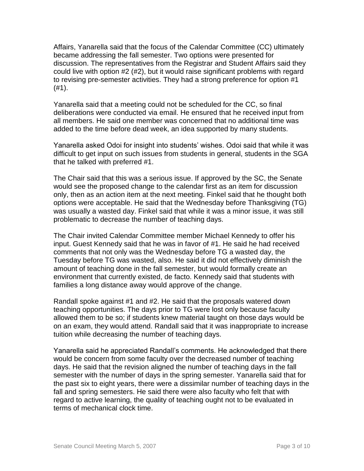Affairs, Yanarella said that the focus of the Calendar Committee (CC) ultimately became addressing the fall semester. Two options were presented for discussion. The representatives from the Registrar and Student Affairs said they could live with option #2 (#2), but it would raise significant problems with regard to revising pre-semester activities. They had a strong preference for option #1 (#1).

Yanarella said that a meeting could not be scheduled for the CC, so final deliberations were conducted via email. He ensured that he received input from all members. He said one member was concerned that no additional time was added to the time before dead week, an idea supported by many students.

Yanarella asked Odoi for insight into students' wishes. Odoi said that while it was difficult to get input on such issues from students in general, students in the SGA that he talked with preferred #1.

The Chair said that this was a serious issue. If approved by the SC, the Senate would see the proposed change to the calendar first as an item for discussion only, then as an action item at the next meeting. Finkel said that he thought both options were acceptable. He said that the Wednesday before Thanksgiving (TG) was usually a wasted day. Finkel said that while it was a minor issue, it was still problematic to decrease the number of teaching days.

The Chair invited Calendar Committee member Michael Kennedy to offer his input. Guest Kennedy said that he was in favor of #1. He said he had received comments that not only was the Wednesday before TG a wasted day, the Tuesday before TG was wasted, also. He said it did not effectively diminish the amount of teaching done in the fall semester, but would formally create an environment that currently existed, de facto. Kennedy said that students with families a long distance away would approve of the change.

Randall spoke against #1 and #2. He said that the proposals watered down teaching opportunities. The days prior to TG were lost only because faculty allowed them to be so; if students knew material taught on those days would be on an exam, they would attend. Randall said that it was inappropriate to increase tuition while decreasing the number of teaching days.

Yanarella said he appreciated Randall's comments. He acknowledged that there would be concern from some faculty over the decreased number of teaching days. He said that the revision aligned the number of teaching days in the fall semester with the number of days in the spring semester. Yanarella said that for the past six to eight years, there were a dissimilar number of teaching days in the fall and spring semesters. He said there were also faculty who felt that with regard to active learning, the quality of teaching ought not to be evaluated in terms of mechanical clock time.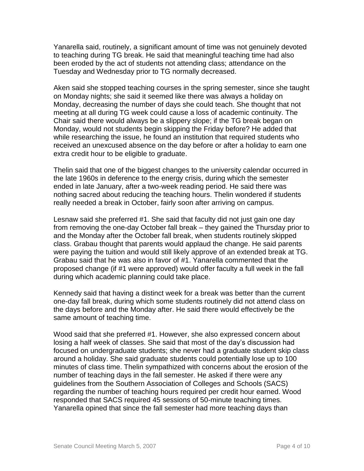Yanarella said, routinely, a significant amount of time was not genuinely devoted to teaching during TG break. He said that meaningful teaching time had also been eroded by the act of students not attending class; attendance on the Tuesday and Wednesday prior to TG normally decreased.

Aken said she stopped teaching courses in the spring semester, since she taught on Monday nights; she said it seemed like there was always a holiday on Monday, decreasing the number of days she could teach. She thought that not meeting at all during TG week could cause a loss of academic continuity. The Chair said there would always be a slippery slope; if the TG break began on Monday, would not students begin skipping the Friday before? He added that while researching the issue, he found an institution that required students who received an unexcused absence on the day before or after a holiday to earn one extra credit hour to be eligible to graduate.

Thelin said that one of the biggest changes to the university calendar occurred in the late 1960s in deference to the energy crisis, during which the semester ended in late January, after a two-week reading period. He said there was nothing sacred about reducing the teaching hours. Thelin wondered if students really needed a break in October, fairly soon after arriving on campus.

Lesnaw said she preferred #1. She said that faculty did not just gain one day from removing the one-day October fall break – they gained the Thursday prior to and the Monday after the October fall break, when students routinely skipped class. Grabau thought that parents would applaud the change. He said parents were paying the tuition and would still likely approve of an extended break at TG. Grabau said that he was also in favor of #1. Yanarella commented that the proposed change (if #1 were approved) would offer faculty a full week in the fall during which academic planning could take place.

Kennedy said that having a distinct week for a break was better than the current one-day fall break, during which some students routinely did not attend class on the days before and the Monday after. He said there would effectively be the same amount of teaching time.

Wood said that she preferred #1. However, she also expressed concern about losing a half week of classes. She said that most of the day's discussion had focused on undergraduate students; she never had a graduate student skip class around a holiday. She said graduate students could potentially lose up to 100 minutes of class time. Thelin sympathized with concerns about the erosion of the number of teaching days in the fall semester. He asked if there were any guidelines from the Southern Association of Colleges and Schools (SACS) regarding the number of teaching hours required per credit hour earned. Wood responded that SACS required 45 sessions of 50-minute teaching times. Yanarella opined that since the fall semester had more teaching days than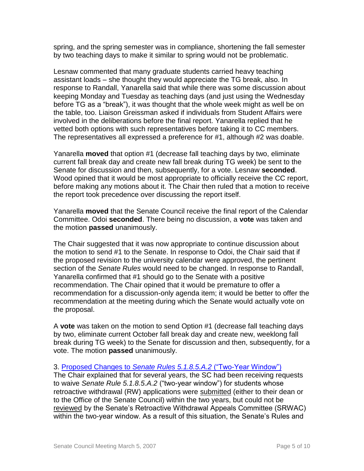spring, and the spring semester was in compliance, shortening the fall semester by two teaching days to make it similar to spring would not be problematic.

Lesnaw commented that many graduate students carried heavy teaching assistant loads – she thought they would appreciate the TG break, also. In response to Randall, Yanarella said that while there was some discussion about keeping Monday and Tuesday as teaching days (and just using the Wednesday before TG as a "break"), it was thought that the whole week might as well be on the table, too. Liaison Greissman asked if individuals from Student Affairs were involved in the deliberations before the final report. Yanarella replied that he vetted both options with such representatives before taking it to CC members. The representatives all expressed a preference for #1, although #2 was doable.

Yanarella **moved** that option #1 (decrease fall teaching days by two, eliminate current fall break day and create new fall break during TG week) be sent to the Senate for discussion and then, subsequently, for a vote. Lesnaw **seconded**. Wood opined that it would be most appropriate to officially receive the CC report, before making any motions about it. The Chair then ruled that a motion to receive the report took precedence over discussing the report itself.

Yanarella **moved** that the Senate Council receive the final report of the Calendar Committee. Odoi **seconded**. There being no discussion, a **vote** was taken and the motion **passed** unanimously.

The Chair suggested that it was now appropriate to continue discussion about the motion to send #1 to the Senate. In response to Odoi, the Chair said that if the proposed revision to the university calendar were approved, the pertinent section of the *Senate Rules* would need to be changed. In response to Randall, Yanarella confirmed that #1 should go to the Senate with a positive recommendation. The Chair opined that it would be premature to offer a recommendation for a discussion-only agenda item; it would be better to offer the recommendation at the meeting during which the Senate would actually vote on the proposal.

A **vote** was taken on the motion to send Option #1 (decrease fall teaching days by two, eliminate current October fall break day and create new, weeklong fall break during TG week) to the Senate for discussion and then, subsequently, for a vote. The motion **passed** unanimously.

### 3. Proposed Changes to *[Senate Rules 5.1.8.5.A.2](http://www.uky.edu/USC/New/files/20070305/Minutes_May_12_2006_km_Complete.pdf)* ("Two-Year Window")

The Chair explained that for several years, the SC had been receiving requests to waive *Senate Rule 5.1.8.5.A.2* ("two-year window") for students whose retroactive withdrawal (RW) applications were submitted (either to their dean or to the Office of the Senate Council) within the two years, but could not be reviewed by the Senate's Retroactive Withdrawal Appeals Committee (SRWAC) within the two-year window. As a result of this situation, the Senate's Rules and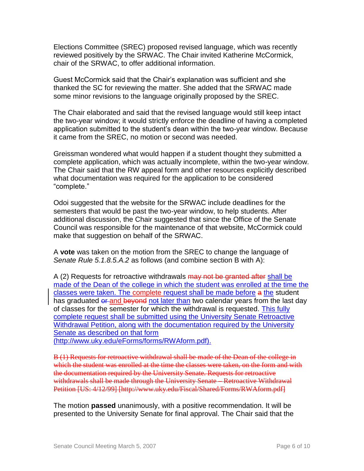Elections Committee (SREC) proposed revised language, which was recently reviewed positively by the SRWAC. The Chair invited Katherine McCormick, chair of the SRWAC, to offer additional information.

Guest McCormick said that the Chair's explanation was sufficient and she thanked the SC for reviewing the matter. She added that the SRWAC made some minor revisions to the language originally proposed by the SREC.

The Chair elaborated and said that the revised language would still keep intact the two-year window; it would strictly enforce the deadline of having a completed application submitted to the student's dean within the two-year window. Because it came from the SREC, no motion or second was needed.

Greissman wondered what would happen if a student thought they submitted a complete application, which was actually incomplete, within the two-year window. The Chair said that the RW appeal form and other resources explicitly described what documentation was required for the application to be considered "complete."

Odoi suggested that the website for the SRWAC include deadlines for the semesters that would be past the two-year window, to help students. After additional discussion, the Chair suggested that since the Office of the Senate Council was responsible for the maintenance of that website, McCormick could make that suggestion on behalf of the SRWAC.

A **vote** was taken on the motion from the SREC to change the language of *Senate Rule 5.1.8.5.A.2* as follows (and combine section B with A):

A (2) Requests for retroactive withdrawals may not be granted after shall be made of the Dean of the college in which the student was enrolled at the time the classes were taken. The complete request shall be made before a the student has graduated or and beyond not later than two calendar years from the last day of classes for the semester for which the withdrawal is requested. This fully complete request shall be submitted using the University Senate Retroactive Withdrawal Petition, along with the documentation required by the University Senate as described on that form

(http://www.uky.edu/eForms/forms/RWAform.pdf).

B (1) Requests for retroactive withdrawal shall be made of the Dean of the college in which the student was enrolled at the time the classes were taken, on the form and with the documentation required by the University Senate. Requests for retroactive withdrawals shall be made through the University Senate – Retroactive Withdrawal Petition [US: 4/12/99] [http://www.uky.edu/Fiscal/Shared/Forms/RWAform.pdf]

The motion **passed** unanimously, with a positive recommendation. It will be presented to the University Senate for final approval. The Chair said that the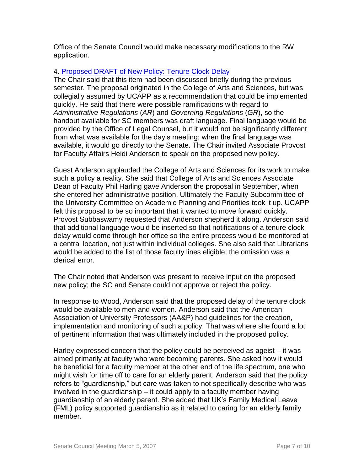Office of the Senate Council would make necessary modifications to the RW application.

## 4. [Proposed DRAFT of New Policy: Tenure Clock Delay](http://www.uky.edu/USC/New/files/20070305/Coll%20AS%20Tenure-Clock%20X%20Policy%20Revised%20March%202%2007.pdf)

The Chair said that this item had been discussed briefly during the previous semester. The proposal originated in the College of Arts and Sciences, but was collegially assumed by UCAPP as a recommendation that could be implemented quickly. He said that there were possible ramifications with regard to *Administrative Regulations* (*AR*) and *Governing Regulations* (*GR*), so the handout available for SC members was draft language. Final language would be provided by the Office of Legal Counsel, but it would not be significantly different from what was available for the day's meeting; when the final language was available, it would go directly to the Senate. The Chair invited Associate Provost for Faculty Affairs Heidi Anderson to speak on the proposed new policy.

Guest Anderson applauded the College of Arts and Sciences for its work to make such a policy a reality. She said that College of Arts and Sciences Associate Dean of Faculty Phil Harling gave Anderson the proposal in September, when she entered her administrative position. Ultimately the Faculty Subcommittee of the University Committee on Academic Planning and Priorities took it up. UCAPP felt this proposal to be so important that it wanted to move forward quickly. Provost Subbaswamy requested that Anderson shepherd it along. Anderson said that additional language would be inserted so that notifications of a tenure clock delay would come through her office so the entire process would be monitored at a central location, not just within individual colleges. She also said that Librarians would be added to the list of those faculty lines eligible; the omission was a clerical error.

The Chair noted that Anderson was present to receive input on the proposed new policy; the SC and Senate could not approve or reject the policy.

In response to Wood, Anderson said that the proposed delay of the tenure clock would be available to men and women. Anderson said that the American Association of University Professors (AA&P) had guidelines for the creation, implementation and monitoring of such a policy. That was where she found a lot of pertinent information that was ultimately included in the proposed policy.

Harley expressed concern that the policy could be perceived as ageist – it was aimed primarily at faculty who were becoming parents. She asked how it would be beneficial for a faculty member at the other end of the life spectrum, one who might wish for time off to care for an elderly parent. Anderson said that the policy refers to "guardianship," but care was taken to not specifically describe who was involved in the guardianship – it could apply to a faculty member having guardianship of an elderly parent. She added that UK's Family Medical Leave (FML) policy supported guardianship as it related to caring for an elderly family member.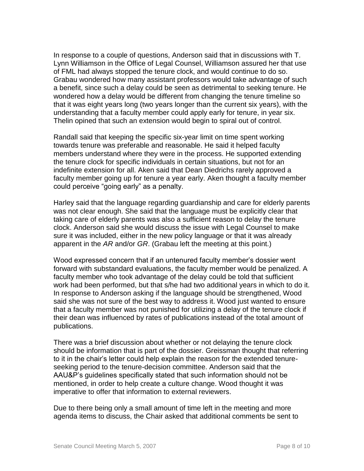In response to a couple of questions, Anderson said that in discussions with T. Lynn Williamson in the Office of Legal Counsel, Williamson assured her that use of FML had always stopped the tenure clock, and would continue to do so. Grabau wondered how many assistant professors would take advantage of such a benefit, since such a delay could be seen as detrimental to seeking tenure. He wondered how a delay would be different from changing the tenure timeline so that it was eight years long (two years longer than the current six years), with the understanding that a faculty member could apply early for tenure, in year six. Thelin opined that such an extension would begin to spiral out of control.

Randall said that keeping the specific six-year limit on time spent working towards tenure was preferable and reasonable. He said it helped faculty members understand where they were in the process. He supported extending the tenure clock for specific individuals in certain situations, but not for an indefinite extension for all. Aken said that Dean Diedrichs rarely approved a faculty member going up for tenure a year early. Aken thought a faculty member could perceive "going early" as a penalty.

Harley said that the language regarding guardianship and care for elderly parents was not clear enough. She said that the language must be explicitly clear that taking care of elderly parents was also a sufficient reason to delay the tenure clock. Anderson said she would discuss the issue with Legal Counsel to make sure it was included, either in the new policy language or that it was already apparent in the *AR* and/or *GR*. (Grabau left the meeting at this point.)

Wood expressed concern that if an untenured faculty member's dossier went forward with substandard evaluations, the faculty member would be penalized. A faculty member who took advantage of the delay could be told that sufficient work had been performed, but that s/he had two additional years in which to do it. In response to Anderson asking if the language should be strengthened, Wood said she was not sure of the best way to address it. Wood just wanted to ensure that a faculty member was not punished for utilizing a delay of the tenure clock if their dean was influenced by rates of publications instead of the total amount of publications.

There was a brief discussion about whether or not delaying the tenure clock should be information that is part of the dossier. Greissman thought that referring to it in the chair's letter could help explain the reason for the extended tenureseeking period to the tenure-decision committee. Anderson said that the AAU&P's guidelines specifically stated that such information should not be mentioned, in order to help create a culture change. Wood thought it was imperative to offer that information to external reviewers.

Due to there being only a small amount of time left in the meeting and more agenda items to discuss, the Chair asked that additional comments be sent to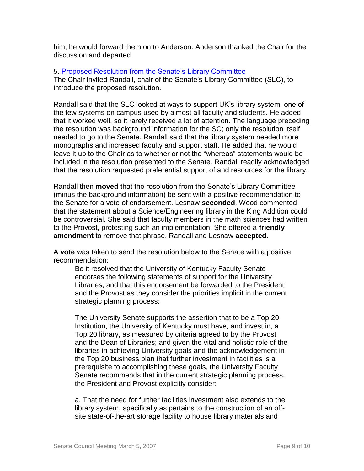him; he would forward them on to Anderson. Anderson thanked the Chair for the discussion and departed.

#### 5. [Proposed Resolution from the Senate's Library Committee](http://www.uky.edu/USC/New/files/20070305/Library%20draft%20resolution%203%202%2007.pdf)

The Chair invited Randall, chair of the Senate's Library Committee (SLC), to introduce the proposed resolution.

Randall said that the SLC looked at ways to support UK's library system, one of the few systems on campus used by almost all faculty and students. He added that it worked well, so it rarely received a lot of attention. The language preceding the resolution was background information for the SC; only the resolution itself needed to go to the Senate. Randall said that the library system needed more monographs and increased faculty and support staff. He added that he would leave it up to the Chair as to whether or not the "whereas" statements would be included in the resolution presented to the Senate. Randall readily acknowledged that the resolution requested preferential support of and resources for the library.

Randall then **moved** that the resolution from the Senate's Library Committee (minus the background information) be sent with a positive recommendation to the Senate for a vote of endorsement. Lesnaw **seconded**. Wood commented that the statement about a Science/Engineering library in the King Addition could be controversial. She said that faculty members in the math sciences had written to the Provost, protesting such an implementation. She offered a **friendly amendment** to remove that phrase. Randall and Lesnaw **accepted**.

A **vote** was taken to send the resolution below to the Senate with a positive recommendation:

Be it resolved that the University of Kentucky Faculty Senate endorses the following statements of support for the University Libraries, and that this endorsement be forwarded to the President and the Provost as they consider the priorities implicit in the current strategic planning process:

The University Senate supports the assertion that to be a Top 20 Institution, the University of Kentucky must have, and invest in, a Top 20 library, as measured by criteria agreed to by the Provost and the Dean of Libraries; and given the vital and holistic role of the libraries in achieving University goals and the acknowledgement in the Top 20 business plan that further investment in facilities is a prerequisite to accomplishing these goals, the University Faculty Senate recommends that in the current strategic planning process, the President and Provost explicitly consider:

a. That the need for further facilities investment also extends to the library system, specifically as pertains to the construction of an offsite state-of-the-art storage facility to house library materials and